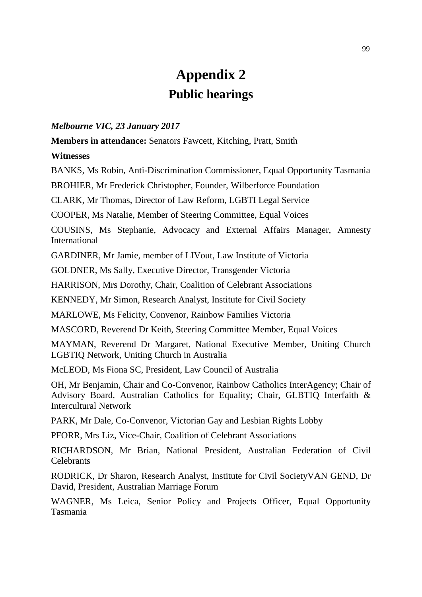## **Appendix 2 Public hearings**

## *Melbourne VIC, 23 January 2017*

**Members in attendance:** Senators Fawcett, Kitching, Pratt, Smith

## **Witnesses**

BANKS, Ms Robin, Anti-Discrimination Commissioner, Equal Opportunity Tasmania

BROHIER, Mr Frederick Christopher, Founder, Wilberforce Foundation

CLARK, Mr Thomas, Director of Law Reform, LGBTI Legal Service

COOPER, Ms Natalie, Member of Steering Committee, Equal Voices

COUSINS, Ms Stephanie, Advocacy and External Affairs Manager, Amnesty International

GARDINER, Mr Jamie, member of LIVout, Law Institute of Victoria

GOLDNER, Ms Sally, Executive Director, Transgender Victoria

HARRISON, Mrs Dorothy, Chair, Coalition of Celebrant Associations

KENNEDY, Mr Simon, Research Analyst, Institute for Civil Society

MARLOWE, Ms Felicity, Convenor, Rainbow Families Victoria

MASCORD, Reverend Dr Keith, Steering Committee Member, Equal Voices

MAYMAN, Reverend Dr Margaret, National Executive Member, Uniting Church LGBTIQ Network, Uniting Church in Australia

McLEOD, Ms Fiona SC, President, Law Council of Australia

OH, Mr Benjamin, Chair and Co-Convenor, Rainbow Catholics InterAgency; Chair of Advisory Board, Australian Catholics for Equality; Chair, GLBTIQ Interfaith & Intercultural Network

PARK, Mr Dale, Co-Convenor, Victorian Gay and Lesbian Rights Lobby

PFORR, Mrs Liz, Vice-Chair, Coalition of Celebrant Associations

RICHARDSON, Mr Brian, National President, Australian Federation of Civil **Celebrants** 

RODRICK, Dr Sharon, Research Analyst, Institute for Civil SocietyVAN GEND, Dr David, President, Australian Marriage Forum

WAGNER, Ms Leica, Senior Policy and Projects Officer, Equal Opportunity Tasmania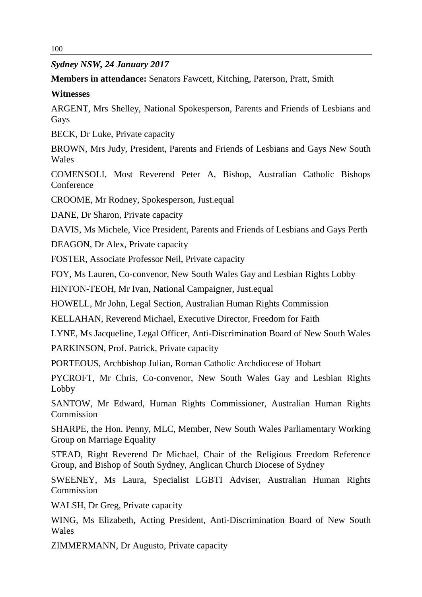*Sydney NSW, 24 January 2017*

**Members in attendance:** Senators Fawcett, Kitching, Paterson, Pratt, Smith

## **Witnesses**

ARGENT, Mrs Shelley, National Spokesperson, Parents and Friends of Lesbians and Gays

BECK, Dr Luke, Private capacity

BROWN, Mrs Judy, President, Parents and Friends of Lesbians and Gays New South Wales

COMENSOLI, Most Reverend Peter A, Bishop, Australian Catholic Bishops **Conference** 

CROOME, Mr Rodney, Spokesperson, Just.equal

DANE, Dr Sharon, Private capacity

DAVIS, Ms Michele, Vice President, Parents and Friends of Lesbians and Gays Perth

DEAGON, Dr Alex, Private capacity

FOSTER, Associate Professor Neil, Private capacity

FOY, Ms Lauren, Co-convenor, New South Wales Gay and Lesbian Rights Lobby

HINTON-TEOH, Mr Ivan, National Campaigner, Just.equal

HOWELL, Mr John, Legal Section, Australian Human Rights Commission

KELLAHAN, Reverend Michael, Executive Director, Freedom for Faith

LYNE, Ms Jacqueline, Legal Officer, Anti-Discrimination Board of New South Wales

PARKINSON, Prof. Patrick, Private capacity

PORTEOUS, Archbishop Julian, Roman Catholic Archdiocese of Hobart

PYCROFT, Mr Chris, Co-convenor, New South Wales Gay and Lesbian Rights Lobby

SANTOW, Mr Edward, Human Rights Commissioner, Australian Human Rights Commission

SHARPE, the Hon. Penny, MLC, Member, New South Wales Parliamentary Working Group on Marriage Equality

STEAD, Right Reverend Dr Michael, Chair of the Religious Freedom Reference Group, and Bishop of South Sydney, Anglican Church Diocese of Sydney

SWEENEY, Ms Laura, Specialist LGBTI Adviser, Australian Human Rights Commission

WALSH, Dr Greg, Private capacity

WING, Ms Elizabeth, Acting President, Anti-Discrimination Board of New South Wales

ZIMMERMANN, Dr Augusto, Private capacity